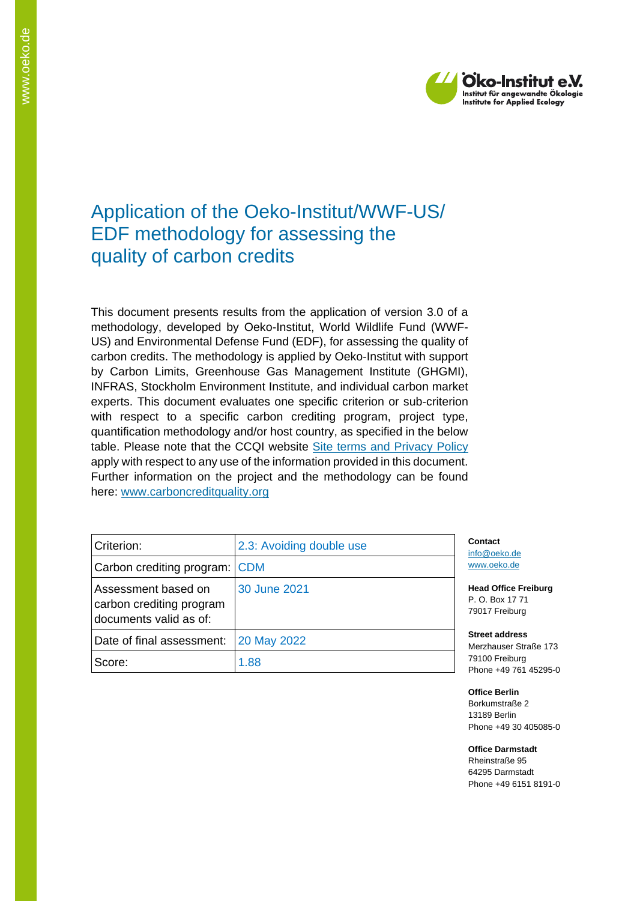

# Application of the Oeko-Institut/WWF-US/ EDF methodology for assessing the quality of carbon credits

This document presents results from the application of version 3.0 of a methodology, developed by Oeko-Institut, World Wildlife Fund (WWF-US) and Environmental Defense Fund (EDF), for assessing the quality of carbon credits. The methodology is applied by Oeko-Institut with support by Carbon Limits, Greenhouse Gas Management Institute (GHGMI), INFRAS, Stockholm Environment Institute, and individual carbon market experts. This document evaluates one specific criterion or sub-criterion with respect to a specific carbon crediting program, project type, quantification methodology and/or host country, as specified in the below table. Please note that the CCQI website [Site terms and Privacy Policy](https://carboncreditquality.org/terms.html) apply with respect to any use of the information provided in this document. Further information on the project and the methodology can be found here: [www.carboncreditquality.org](http://www.carboncreditquality.org/)

| Criterion:                                                                | 2.3: Avoiding double use | Cont<br>info@         |
|---------------------------------------------------------------------------|--------------------------|-----------------------|
| Carbon crediting program: CDM                                             |                          | www.                  |
| Assessment based on<br>carbon crediting program<br>documents valid as of: | 30 June 2021             | Head<br>P. O.<br>7901 |
| Date of final assessment:                                                 | 20 May 2022              | <b>Stree</b><br>Merzl |
| Score:                                                                    | 1.88                     | 7910<br>Phon          |

act loeko.de .oeko.de

**Office Freiburg** Box 17 71 7 Freiburg

**Street address** hauser Straße 173 0 Freiburg e +49 761 45295-0

**Office Berlin** Borkumstraße 2 13189 Berlin Phone +49 30 405085-0

**Office Darmstadt** Rheinstraße 95 64295 Darmstadt Phone +49 6151 8191-0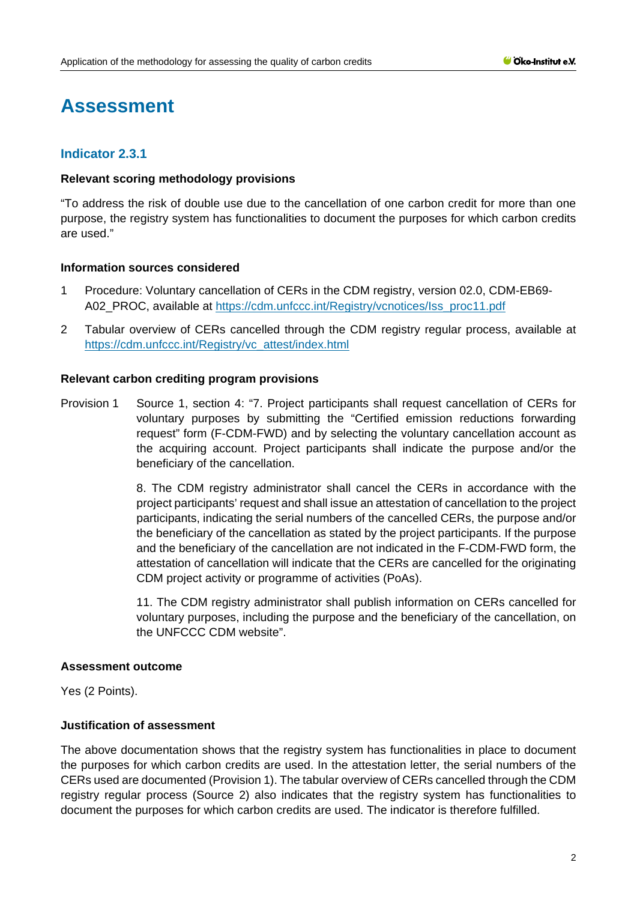# **Assessment**

# **Indicator 2.3.1**

#### **Relevant scoring methodology provisions**

"To address the risk of double use due to the cancellation of one carbon credit for more than one purpose, the registry system has functionalities to document the purposes for which carbon credits are used."

#### **Information sources considered**

- 1 Procedure: Voluntary cancellation of CERs in the CDM registry, version 02.0, CDM-EB69 A02\_PROC, available at [https://cdm.unfccc.int/Registry/vcnotices/Iss\\_proc11.pdf](https://cdm.unfccc.int/Registry/vcnotices/Iss_proc11.pdf)
- 2 Tabular overview of CERs cancelled through the CDM registry regular process, available at https://cdm.unfccc.int/Registry/vc\_attest/index.html

#### **Relevant carbon crediting program provisions**

Provision 1 Source 1, section 4: "7. Project participants shall request cancellation of CERs for voluntary purposes by submitting the "Certified emission reductions forwarding request" form (F-CDM-FWD) and by selecting the voluntary cancellation account as the acquiring account. Project participants shall indicate the purpose and/or the beneficiary of the cancellation.

> 8. The CDM registry administrator shall cancel the CERs in accordance with the project participants' request and shall issue an attestation of cancellation to the project participants, indicating the serial numbers of the cancelled CERs, the purpose and/or the beneficiary of the cancellation as stated by the project participants. If the purpose and the beneficiary of the cancellation are not indicated in the F-CDM-FWD form, the attestation of cancellation will indicate that the CERs are cancelled for the originating CDM project activity or programme of activities (PoAs).

> 11. The CDM registry administrator shall publish information on CERs cancelled for voluntary purposes, including the purpose and the beneficiary of the cancellation, on the UNFCCC CDM website".

#### **Assessment outcome**

Yes (2 Points).

## **Justification of assessment**

The above documentation shows that the registry system has functionalities in place to document the purposes for which carbon credits are used. In the attestation letter, the serial numbers of the CERs used are documented (Provision 1). The tabular overview of CERs cancelled through the CDM registry regular process (Source 2) also indicates that the registry system has functionalities to document the purposes for which carbon credits are used. The indicator is therefore fulfilled.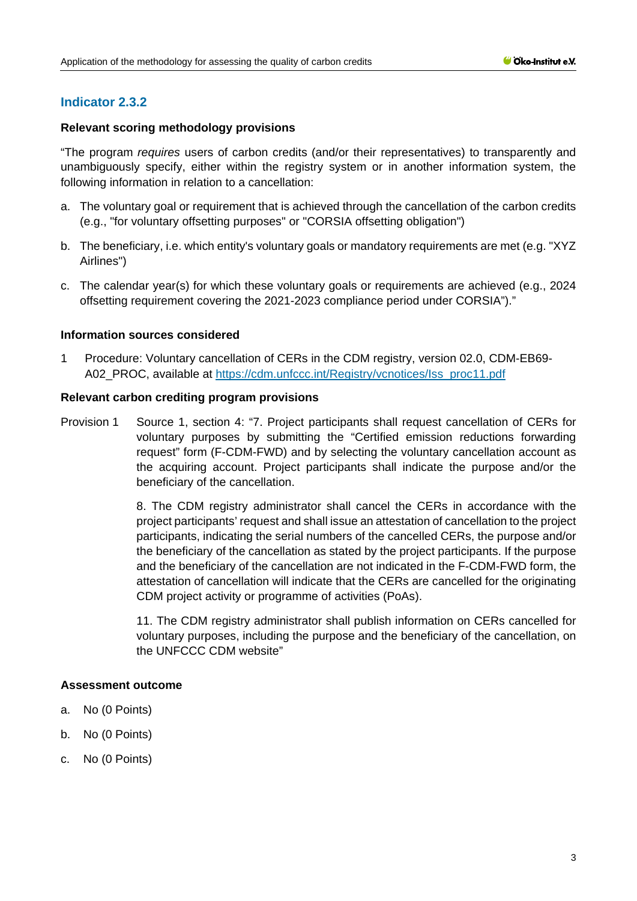# **Indicator 2.3.2**

## **Relevant scoring methodology provisions**

"The program *requires* users of carbon credits (and/or their representatives) to transparently and unambiguously specify, either within the registry system or in another information system, the following information in relation to a cancellation:

- a. The voluntary goal or requirement that is achieved through the cancellation of the carbon credits (e.g., "for voluntary offsetting purposes" or "CORSIA offsetting obligation")
- b. The beneficiary, i.e. which entity's voluntary goals or mandatory requirements are met (e.g. "XYZ Airlines")
- c. The calendar year(s) for which these voluntary goals or requirements are achieved (e.g., 2024 offsetting requirement covering the 2021-2023 compliance period under CORSIA")."

#### **Information sources considered**

1 Procedure: Voluntary cancellation of CERs in the CDM registry, version 02.0, CDM-EB69- A02\_PROC, available at [https://cdm.unfccc.int/Registry/vcnotices/Iss\\_proc11.pdf](https://cdm.unfccc.int/Registry/vcnotices/Iss_proc11.pdf)

#### **Relevant carbon crediting program provisions**

Provision 1 Source 1, section 4: "7. Project participants shall request cancellation of CERs for voluntary purposes by submitting the "Certified emission reductions forwarding request" form (F-CDM-FWD) and by selecting the voluntary cancellation account as the acquiring account. Project participants shall indicate the purpose and/or the beneficiary of the cancellation.

> 8. The CDM registry administrator shall cancel the CERs in accordance with the project participants' request and shall issue an attestation of cancellation to the project participants, indicating the serial numbers of the cancelled CERs, the purpose and/or the beneficiary of the cancellation as stated by the project participants. If the purpose and the beneficiary of the cancellation are not indicated in the F-CDM-FWD form, the attestation of cancellation will indicate that the CERs are cancelled for the originating CDM project activity or programme of activities (PoAs).

> 11. The CDM registry administrator shall publish information on CERs cancelled for voluntary purposes, including the purpose and the beneficiary of the cancellation, on the UNFCCC CDM website"

#### **Assessment outcome**

- a. No (0 Points)
- b. No (0 Points)
- c. No (0 Points)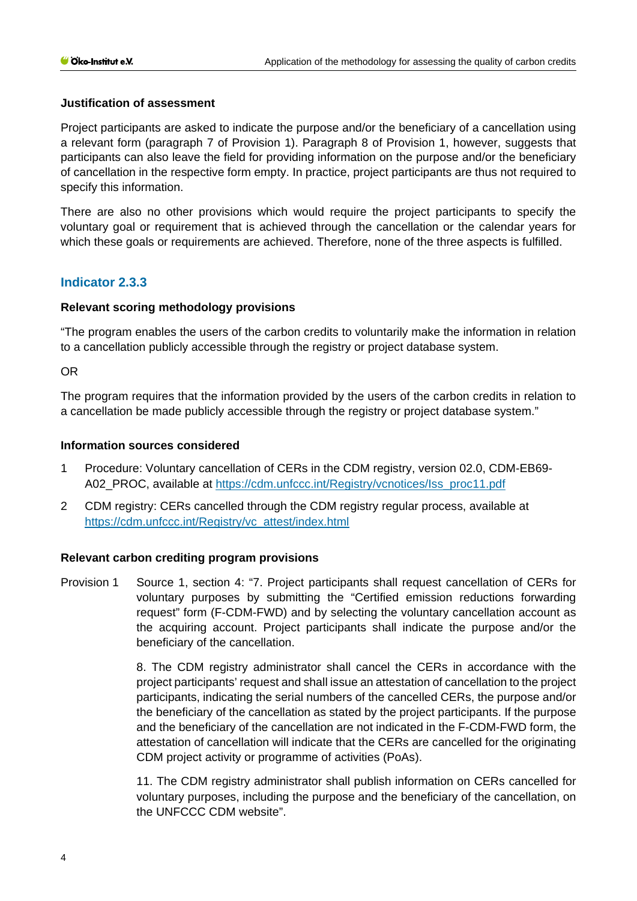#### **Justification of assessment**

Project participants are asked to indicate the purpose and/or the beneficiary of a cancellation using a relevant form (paragraph 7 of Provision 1). Paragraph 8 of Provision 1, however, suggests that participants can also leave the field for providing information on the purpose and/or the beneficiary of cancellation in the respective form empty. In practice, project participants are thus not required to specify this information.

There are also no other provisions which would require the project participants to specify the voluntary goal or requirement that is achieved through the cancellation or the calendar years for which these goals or requirements are achieved. Therefore, none of the three aspects is fulfilled.

# **Indicator 2.3.3**

#### **Relevant scoring methodology provisions**

"The program enables the users of the carbon credits to voluntarily make the information in relation to a cancellation publicly accessible through the registry or project database system.

OR

The program requires that the information provided by the users of the carbon credits in relation to a cancellation be made publicly accessible through the registry or project database system."

#### **Information sources considered**

- 1 Procedure: Voluntary cancellation of CERs in the CDM registry, version 02.0, CDM-EB69- A02\_PROC, available at [https://cdm.unfccc.int/Registry/vcnotices/Iss\\_proc11.pdf](https://cdm.unfccc.int/Registry/vcnotices/Iss_proc11.pdf)
- 2 CDM registry: CERs cancelled through the CDM registry regular process, available at [https://cdm.unfccc.int/Registry/vc\\_attest/index.html](https://cdm.unfccc.int/Registry/vc_attest/index.html)

#### **Relevant carbon crediting program provisions**

Provision 1 Source 1, section 4: "7. Project participants shall request cancellation of CERs for voluntary purposes by submitting the "Certified emission reductions forwarding request" form (F-CDM-FWD) and by selecting the voluntary cancellation account as the acquiring account. Project participants shall indicate the purpose and/or the beneficiary of the cancellation.

> 8. The CDM registry administrator shall cancel the CERs in accordance with the project participants' request and shall issue an attestation of cancellation to the project participants, indicating the serial numbers of the cancelled CERs, the purpose and/or the beneficiary of the cancellation as stated by the project participants. If the purpose and the beneficiary of the cancellation are not indicated in the F-CDM-FWD form, the attestation of cancellation will indicate that the CERs are cancelled for the originating CDM project activity or programme of activities (PoAs).

> 11. The CDM registry administrator shall publish information on CERs cancelled for voluntary purposes, including the purpose and the beneficiary of the cancellation, on the UNFCCC CDM website".